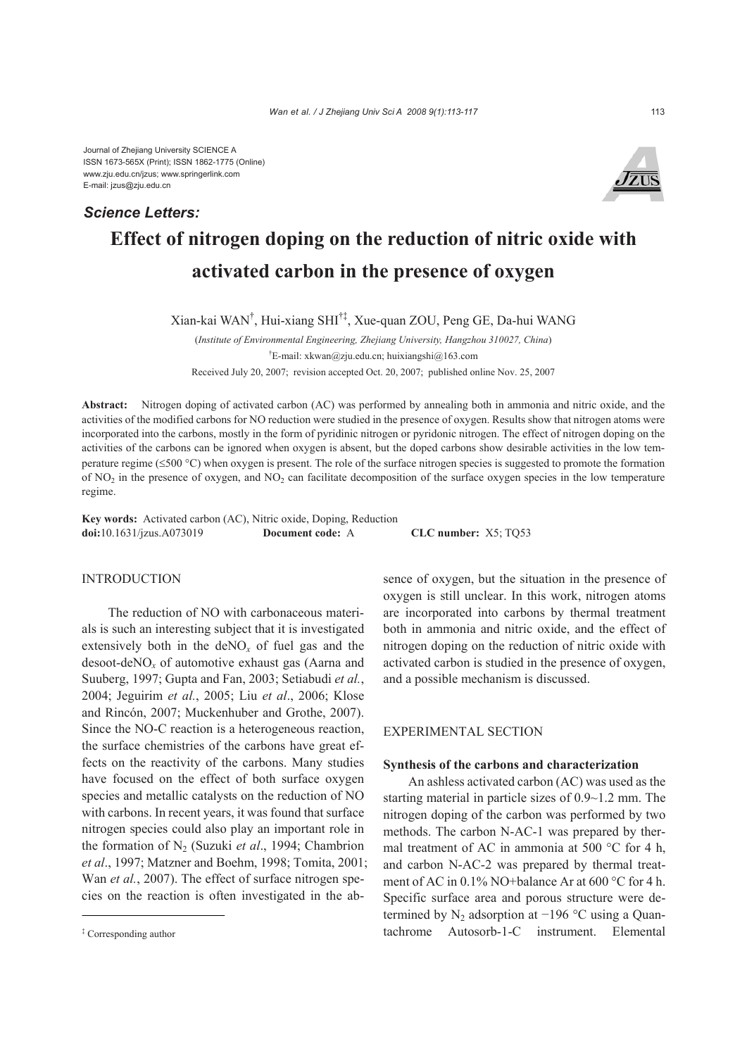Journal of Zhejiang University SCIENCE A ISSN 1673-565X (Print); ISSN 1862-1775 (Online) www.zju.edu.cn/jzus; www.springerlink.com E-mail: jzus@zju.edu.cn

# **Effect of nitrogen doping on the reduction of nitric oxide with activated carbon in the presence of oxygen** *Science Letters:*

Xian-kai WAN† , Hui-xiang SHI†‡, Xue-quan ZOU, Peng GE, Da-hui WANG

(*Institute of Environmental Engineering, Zhejiang University, Hangzhou 310027, China*) † E-mail: xkwan@zju.edu.cn; huixiangshi@163.com Received July 20, 2007; revision accepted Oct. 20, 2007; published online Nov. 25, 2007

**Abstract:** Nitrogen doping of activated carbon (AC) was performed by annealing both in ammonia and nitric oxide, and the activities of the modified carbons for NO reduction were studied in the presence of oxygen. Results show that nitrogen atoms were incorporated into the carbons, mostly in the form of pyridinic nitrogen or pyridonic nitrogen. The effect of nitrogen doping on the activities of the carbons can be ignored when oxygen is absent, but the doped carbons show desirable activities in the low temperature regime (≤500 °C) when oxygen is present. The role of the surface nitrogen species is suggested to promote the formation of  $NO<sub>2</sub>$  in the presence of oxygen, and  $NO<sub>2</sub>$  can facilitate decomposition of the surface oxygen species in the low temperature regime.

**Key words:** Activated carbon (AC), Nitric oxide, Doping, Reduction **doi:**10.1631/jzus.A073019 **Document code:** A **CLC number:** X5; TQ53

## INTRODUCTION

The reduction of NO with carbonaceous materials is such an interesting subject that it is investigated extensively both in the  $deNO<sub>x</sub>$  of fuel gas and the desoot-deNO*x* of automotive exhaust gas (Aarna and Suuberg, 1997; Gupta and Fan, 2003; Setiabudi *et al.*, 2004; Jeguirim *et al.*, 2005; Liu *et al*., 2006; Klose and Rincón, 2007; Muckenhuber and Grothe, 2007). Since the NO-C reaction is a heterogeneous reaction, the surface chemistries of the carbons have great effects on the reactivity of the carbons. Many studies have focused on the effect of both surface oxygen species and metallic catalysts on the reduction of NO with carbons. In recent years, it was found that surface nitrogen species could also play an important role in the formation of N<sub>2</sub> (Suzuki *et al.*, 1994; Chambrion *et al*., 1997; Matzner and Boehm, 1998; Tomita, 2001; Wan *et al.*, 2007). The effect of surface nitrogen species on the reaction is often investigated in the absence of oxygen, but the situation in the presence of oxygen is still unclear. In this work, nitrogen atoms are incorporated into carbons by thermal treatment both in ammonia and nitric oxide, and the effect of nitrogen doping on the reduction of nitric oxide with activated carbon is studied in the presence of oxygen, and a possible mechanism is discussed.

## EXPERIMENTAL SECTION

#### **Synthesis of the carbons and characterization**

An ashless activated carbon (AC) was used as the starting material in particle sizes of 0.9~1.2 mm. The nitrogen doping of the carbon was performed by two methods. The carbon N-AC-1 was prepared by thermal treatment of AC in ammonia at 500 °C for 4 h, and carbon N-AC-2 was prepared by thermal treatment of AC in 0.1% NO+balance Ar at 600 °C for 4 h. Specific surface area and porous structure were determined by N<sub>2</sub> adsorption at  $-196$  °C using a Quantachrome Autosorb-1-C instrument. Elemental



<sup>‡</sup> Corresponding author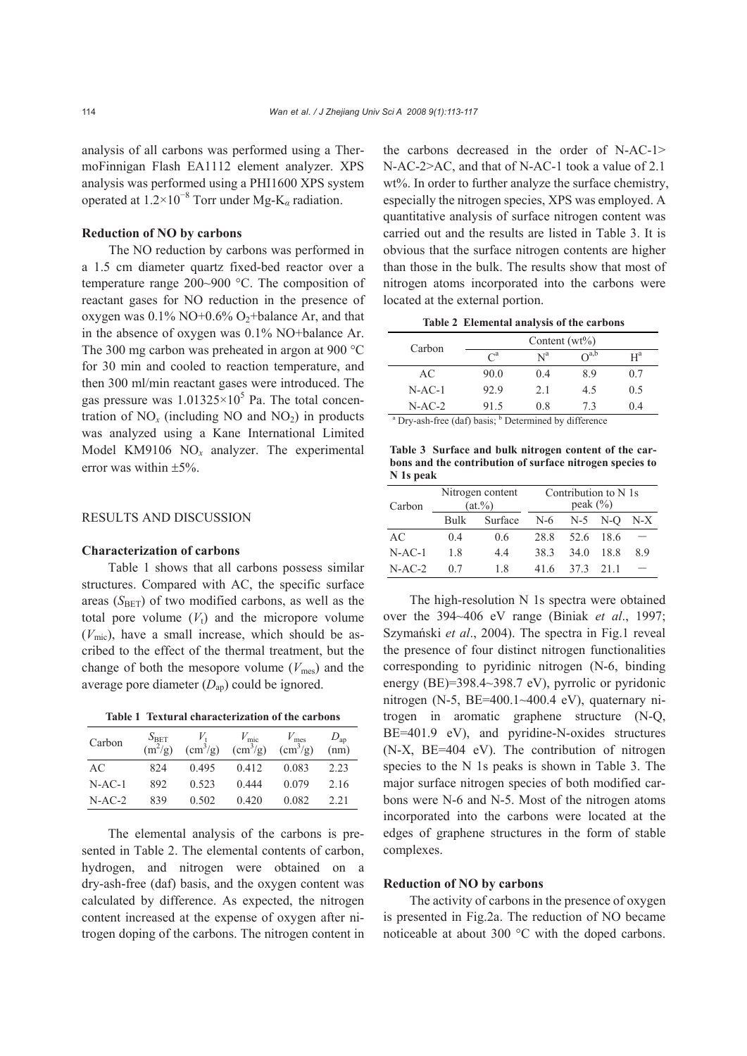analysis of all carbons was performed using a ThermoFinnigan Flash EA1112 element analyzer. XPS analysis was performed using a PHI1600 XPS system operated at 1.2×10<sup>−</sup><sup>8</sup> Torr under Mg-K*α* radiation.

## **Reduction of NO by carbons**

The NO reduction by carbons was performed in a 1.5 cm diameter quartz fixed-bed reactor over a temperature range 200~900 °C. The composition of reactant gases for NO reduction in the presence of oxygen was  $0.1\%$  NO+ $0.6\%$  O<sub>2</sub>+balance Ar, and that in the absence of oxygen was 0.1% NO+balance Ar. The 300 mg carbon was preheated in argon at 900 °C for 30 min and cooled to reaction temperature, and then 300 ml/min reactant gases were introduced. The gas pressure was  $1.01325 \times 10^5$  Pa. The total concentration of  $NO_x$  (including NO and  $NO_2$ ) in products was analyzed using a Kane International Limited Model KM9106 NO*x* analyzer. The experimental error was within  $\pm$ 5%.

## RESULTS AND DISCUSSION

#### **Characterization of carbons**

Table 1 shows that all carbons possess similar structures. Compared with AC, the specific surface areas  $(S<sub>BET</sub>)$  of two modified carbons, as well as the total pore volume  $(V_t)$  and the micropore volume  $(V<sub>mic</sub>)$ , have a small increase, which should be ascribed to the effect of the thermal treatment, but the change of both the mesopore volume  $(V_{\text{mes}})$  and the average pore diameter (*D*ap) could be ignored.

**Table 1 Textural characterization of the carbons** 

| Carbon   | $S_{\rm BET}$<br>$(m^2/g)$ | $\rm (cm^3/g)$ | $V_{\rm mic}$<br>$\left(\text{cm}^3/\text{g}\right)$ | $V_{\text{mes}}$<br>$\left(\frac{\text{cm}^3}{\text{g}}\right)$ | $D_{\rm ap}$<br>(nm) |
|----------|----------------------------|----------------|------------------------------------------------------|-----------------------------------------------------------------|----------------------|
| AC       | 824                        | 0.495          | 0.412                                                | 0.083                                                           | 2.23                 |
| $N-AC-1$ | 892                        | 0.523          | 0.444                                                | 0.079                                                           | 2.16                 |
| $N-AC-2$ | 839                        | 0.502          | 0.420                                                | 0.082                                                           | 2.21                 |

The elemental analysis of the carbons is presented in Table 2. The elemental contents of carbon, hydrogen, and nitrogen were obtained on a dry-ash-free (daf) basis, and the oxygen content was calculated by difference. As expected, the nitrogen content increased at the expense of oxygen after nitrogen doping of the carbons. The nitrogen content in the carbons decreased in the order of N-AC-1> N-AC-2>AC, and that of N-AC-1 took a value of 2.1 wt%. In order to further analyze the surface chemistry, especially the nitrogen species, XPS was employed. A quantitative analysis of surface nitrogen content was carried out and the results are listed in Table 3. It is obvious that the surface nitrogen contents are higher than those in the bulk. The results show that most of nitrogen atoms incorporated into the carbons were located at the external portion.

**Table 2 Elemental analysis of the carbons** 

| Carbon                                                                       | Content $(wt\%)$ |       |                 |       |  |
|------------------------------------------------------------------------------|------------------|-------|-----------------|-------|--|
|                                                                              | $\mathcal{C}^a$  | $N^a$ | $\bigcap^{a,b}$ | $H^a$ |  |
| AC                                                                           | 90.0             | 04    | 89              | 0.7   |  |
| $N-AC-1$                                                                     | 92.9             | 2.1   | 4.5             | 0.5   |  |
| $N-AC-2$                                                                     | 91.5             | 08    | 73              | 04    |  |
| <sup>a</sup> Dry-ash-free (daf) basis; <sup>b</sup> Determined by difference |                  |       |                 |       |  |

**Table 3 Surface and bulk nitrogen content of the carbons and the contribution of surface nitrogen species to N 1s peak**

| Carbon   | Nitrogen content<br>$(at.\%)$ |         | Contribution to N 1s<br>peak $(\% )$ |             |      |     |
|----------|-------------------------------|---------|--------------------------------------|-------------|------|-----|
|          | <b>Bulk</b>                   | Surface | $N-6$                                | $N-5$ $N-O$ |      | N-X |
| AC       | 0 <sub>4</sub>                | 0.6     | 28.8                                 | 52.6        | 18.6 |     |
| $N-AC-1$ | 18                            | 44      | 383                                  | 34 Q        | 18.8 | 89  |
| $N-AC-2$ | 07                            | 1.8     | 416                                  | 373         | 21 1 |     |

The high-resolution N 1s spectra were obtained over the 394~406 eV range (Biniak *et al*., 1997; Szymański *et al*., 2004). The spectra in Fig.1 reveal the presence of four distinct nitrogen functionalities corresponding to pyridinic nitrogen (N-6, binding energy (BE)=398.4~398.7 eV), pyrrolic or pyridonic nitrogen (N-5,  $BE=400.1~400.4$  eV), quaternary nitrogen in aromatic graphene structure (N-Q, BE=401.9 eV), and pyridine-N-oxides structures (N-X, BE=404 eV). The contribution of nitrogen species to the N 1s peaks is shown in Table 3. The major surface nitrogen species of both modified carbons were N-6 and N-5. Most of the nitrogen atoms incorporated into the carbons were located at the edges of graphene structures in the form of stable complexes.

## **Reduction of NO by carbons**

The activity of carbons in the presence of oxygen is presented in Fig.2a. The reduction of NO became noticeable at about 300 °C with the doped carbons.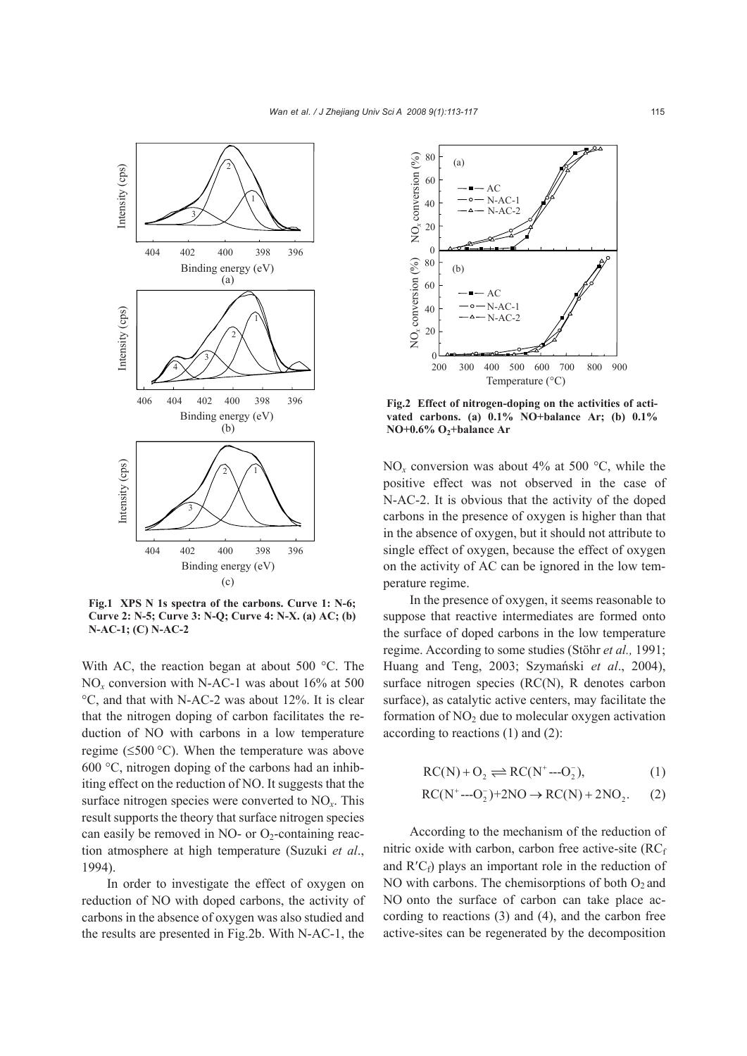

**Fig.1 XPS N 1s spectra of the carbons. Curve 1: N-6; Curve 2: N-5; Curve 3: N-Q; Curve 4: N-X. (a) AC; (b) N-AC-1; (C) N-AC-2** 

With AC, the reaction began at about 500 °C. The NO*x* conversion with N-AC-1 was about 16% at 500 °C, and that with N-AC-2 was about 12%. It is clear that the nitrogen doping of carbon facilitates the reduction of NO with carbons in a low temperature regime ( $\leq 500$  °C). When the temperature was above 600 °C, nitrogen doping of the carbons had an inhibiting effect on the reduction of NO. It suggests that the surface nitrogen species were converted to NO*x*. This result supports the theory that surface nitrogen species can easily be removed in NO- or  $O<sub>2</sub>$ -containing reaction atmosphere at high temperature (Suzuki *et al*., 1994).

In order to investigate the effect of oxygen on reduction of NO with doped carbons, the activity of carbons in the absence of oxygen was also studied and the results are presented in Fig.2b. With N-AC-1, the



**Fig.2 Effect of nitrogen-doping on the activities of activated carbons. (a) 0.1% NO+balance Ar; (b) 0.1% NO+0.6% O2+balance Ar** 

NO<sub>x</sub> conversion was about 4% at 500  $^{\circ}$ C, while the positive effect was not observed in the case of N-AC-2. It is obvious that the activity of the doped carbons in the presence of oxygen is higher than that in the absence of oxygen, but it should not attribute to single effect of oxygen, because the effect of oxygen on the activity of AC can be ignored in the low temperature regime.

In the presence of oxygen, it seems reasonable to suppose that reactive intermediates are formed onto the surface of doped carbons in the low temperature regime. According to some studies (Stöhr *et al.,* 1991; Huang and Teng, 2003; Szymański *et al*., 2004), surface nitrogen species (RC(N), R denotes carbon surface), as catalytic active centers, may facilitate the formation of  $NO<sub>2</sub>$  due to molecular oxygen activation according to reactions (1) and (2):

$$
RC(N) + O_2 \rightleftharpoons RC(N^*---O_2^-),\tag{1}
$$

$$
RC(N^+---O_2^-)+2NO \rightarrow RC(N)+2NO_2. \qquad (2)
$$

According to the mechanism of the reduction of nitric oxide with carbon, carbon free active-site  $(RC_f)$ and  $R'C<sub>f</sub>$ ) plays an important role in the reduction of NO with carbons. The chemisorptions of both  $O_2$  and NO onto the surface of carbon can take place according to reactions (3) and (4), and the carbon free active-sites can be regenerated by the decomposition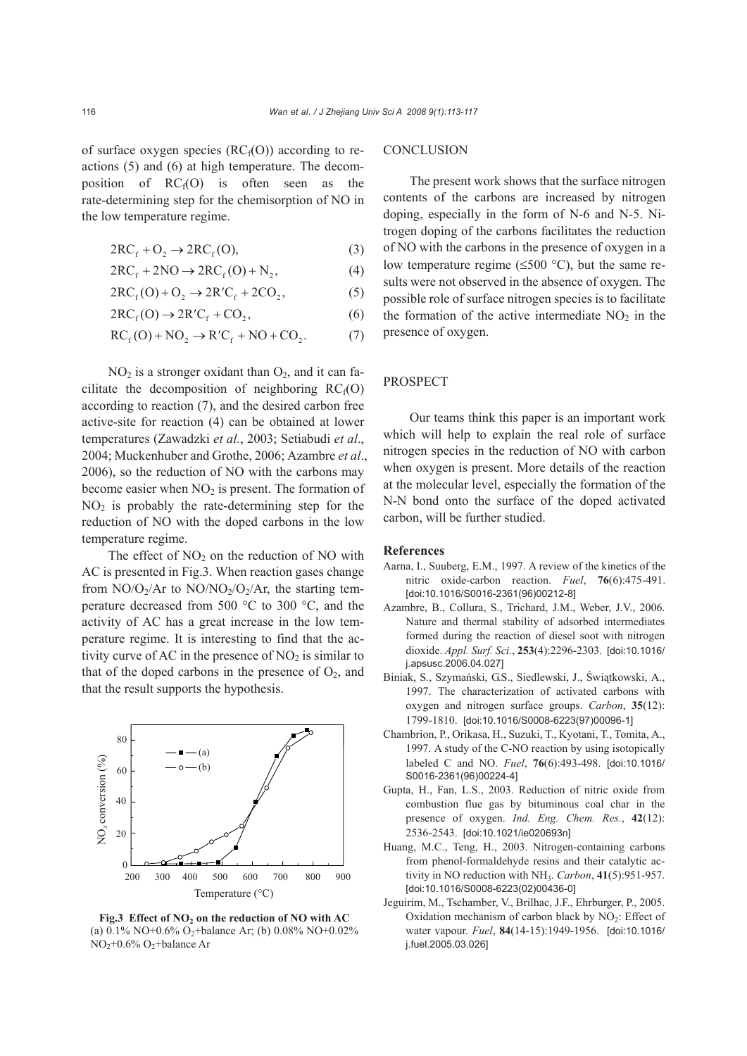of surface oxygen species  $(RC_f(0))$  according to reactions (5) and (6) at high temperature. The decomposition of  $RC_f(0)$  is often seen as the rate-determining step for the chemisorption of NO in the low temperature regime.

$$
2RC_f + O_2 \rightarrow 2RC_f(O),
$$
 (3)

$$
2RC_f + 2NO \rightarrow 2RC_f(O) + N_2, \tag{4}
$$

$$
2RCf(O) + O2 \rightarrow 2R'Cf + 2CO2,
$$
 (5)

$$
2RC_f(0) \to 2R'C_f + CO_2, \tag{6}
$$

$$
RCf(O) + NO2 \rightarrow RCf + NO + CO2.
$$
 (7)

 $NO<sub>2</sub>$  is a stronger oxidant than  $O<sub>2</sub>$ , and it can facilitate the decomposition of neighboring  $RC_f(O)$ according to reaction (7), and the desired carbon free active-site for reaction (4) can be obtained at lower temperatures (Zawadzki *et al.*, 2003; Setiabudi *et al*., 2004; Muckenhuber and Grothe, 2006; Azambre *et al*., 2006), so the reduction of NO with the carbons may become easier when  $NO<sub>2</sub>$  is present. The formation of  $NO<sub>2</sub>$  is probably the rate-determining step for the reduction of NO with the doped carbons in the low temperature regime.

The effect of  $NO<sub>2</sub>$  on the reduction of NO with AC is presented in Fig.3. When reaction gases change from  $NO/O_2/Ar$  to  $NO/NO_2/O_2/Ar$ , the starting temperature decreased from 500 °C to 300 °C, and the activity of AC has a great increase in the low temperature regime. It is interesting to find that the activity curve of AC in the presence of  $NO<sub>2</sub>$  is similar to that of the doped carbons in the presence of  $O_2$ , and that the result supports the hypothesis.



Fig.3 Effect of NO<sub>2</sub> on the reduction of NO with AC (a)  $0.1\%$  NO+ $0.6\%$  O<sub>2</sub>+balance Ar; (b)  $0.08\%$  NO+ $0.02\%$  $NO<sub>2</sub>+0.6\% O<sub>2</sub> + balance Ar$ 

## **CONCLUSION**

The present work shows that the surface nitrogen contents of the carbons are increased by nitrogen doping, especially in the form of N-6 and N-5. Nitrogen doping of the carbons facilitates the reduction of NO with the carbons in the presence of oxygen in a low temperature regime ( $\leq 500$  °C), but the same results were not observed in the absence of oxygen. The possible role of surface nitrogen species is to facilitate the formation of the active intermediate  $NO<sub>2</sub>$  in the presence of oxygen.

### PROSPECT

Our teams think this paper is an important work which will help to explain the real role of surface nitrogen species in the reduction of NO with carbon when oxygen is present. More details of the reaction at the molecular level, especially the formation of the N-N bond onto the surface of the doped activated carbon, will be further studied.

#### **References**

- Aarna, I., Suuberg, E.M., 1997. A review of the kinetics of the nitric oxide-carbon reaction. *Fuel*, **76**(6):475-491. [doi:10.1016/S0016-2361(96)00212-8]
- Azambre, B., Collura, S., Trichard, J.M., Weber, J.V., 2006. Nature and thermal stability of adsorbed intermediates formed during the reaction of diesel soot with nitrogen dioxide. *Appl. Surf. Sci.*, **253**(4):2296-2303. [doi:10.1016/ j.apsusc.2006.04.027]
- Biniak, S., Szymański, G.S., Siedlewski, J., Świątkowski, A., 1997. The characterization of activated carbons with oxygen and nitrogen surface groups. *Carbon*, **35**(12): 1799-1810. [doi:10.1016/S0008-6223(97)00096-1]
- Chambrion, P., Orikasa, H., Suzuki, T., Kyotani, T., Tomita, A., 1997. A study of the C-NO reaction by using isotopically labeled C and NO. *Fuel*, **76**(6):493-498. [doi:10.1016/ S0016-2361(96)00224-4]
- Gupta, H., Fan, L.S., 2003. Reduction of nitric oxide from combustion flue gas by bituminous coal char in the presence of oxygen. *Ind. Eng. Chem. Res.*, **42**(12): 2536-2543. [doi:10.1021/ie020693n]
- Huang, M.C., Teng, H., 2003. Nitrogen-containing carbons from phenol-formaldehyde resins and their catalytic activity in NO reduction with NH3. *Carbon*, **41**(5):951-957. [doi:10.1016/S0008-6223(02)00436-0]
- Jeguirim, M., Tschamber, V., Brilhac, J.F., Ehrburger, P., 2005. Oxidation mechanism of carbon black by  $NO<sub>2</sub>$ : Effect of water vapour. *Fuel*, **84**(14-15):1949-1956. [doi:10.1016/ j.fuel.2005.03.026]